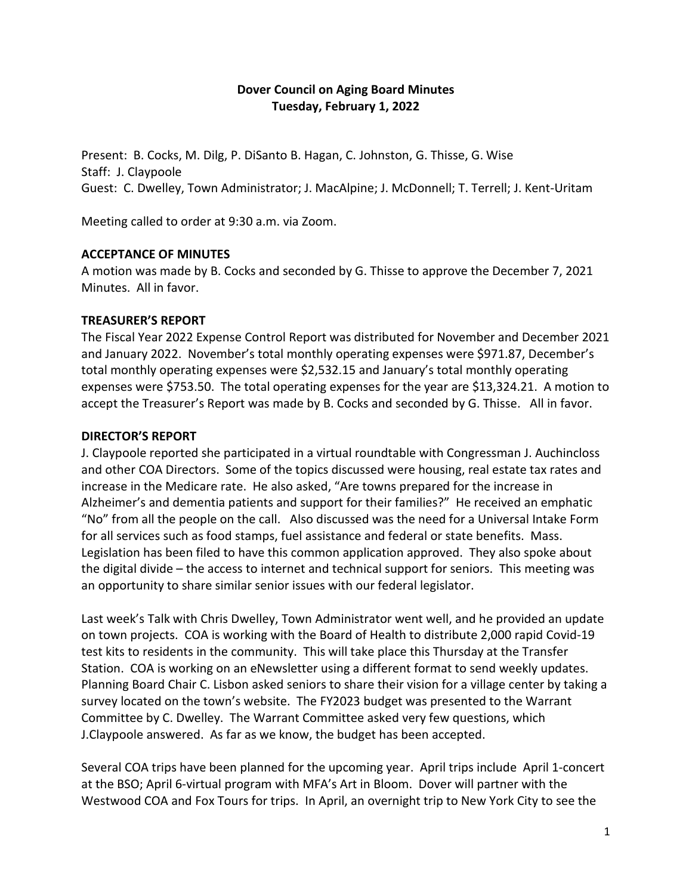# **Dover Council on Aging Board Minutes Tuesday, February 1, 2022**

Present: B. Cocks, M. Dilg, P. DiSanto B. Hagan, C. Johnston, G. Thisse, G. Wise Staff: J. Claypoole Guest: C. Dwelley, Town Administrator; J. MacAlpine; J. McDonnell; T. Terrell; J. Kent-Uritam

Meeting called to order at 9:30 a.m. via Zoom.

## **ACCEPTANCE OF MINUTES**

A motion was made by B. Cocks and seconded by G. Thisse to approve the December 7, 2021 Minutes. All in favor.

#### **TREASURER'S REPORT**

The Fiscal Year 2022 Expense Control Report was distributed for November and December 2021 and January 2022. November's total monthly operating expenses were \$971.87, December's total monthly operating expenses were \$2,532.15 and January's total monthly operating expenses were \$753.50. The total operating expenses for the year are \$13,324.21. A motion to accept the Treasurer's Report was made by B. Cocks and seconded by G. Thisse. All in favor.

## **DIRECTOR'S REPORT**

J. Claypoole reported she participated in a virtual roundtable with Congressman J. Auchincloss and other COA Directors. Some of the topics discussed were housing, real estate tax rates and increase in the Medicare rate. He also asked, "Are towns prepared for the increase in Alzheimer's and dementia patients and support for their families?" He received an emphatic "No" from all the people on the call. Also discussed was the need for a Universal Intake Form for all services such as food stamps, fuel assistance and federal or state benefits. Mass. Legislation has been filed to have this common application approved. They also spoke about the digital divide – the access to internet and technical support for seniors. This meeting was an opportunity to share similar senior issues with our federal legislator.

Last week's Talk with Chris Dwelley, Town Administrator went well, and he provided an update on town projects. COA is working with the Board of Health to distribute 2,000 rapid Covid-19 test kits to residents in the community. This will take place this Thursday at the Transfer Station. COA is working on an eNewsletter using a different format to send weekly updates. Planning Board Chair C. Lisbon asked seniors to share their vision for a village center by taking a survey located on the town's website. The FY2023 budget was presented to the Warrant Committee by C. Dwelley. The Warrant Committee asked very few questions, which J.Claypoole answered. As far as we know, the budget has been accepted.

Several COA trips have been planned for the upcoming year. April trips include April 1-concert at the BSO; April 6-virtual program with MFA's Art in Bloom. Dover will partner with the Westwood COA and Fox Tours for trips. In April, an overnight trip to New York City to see the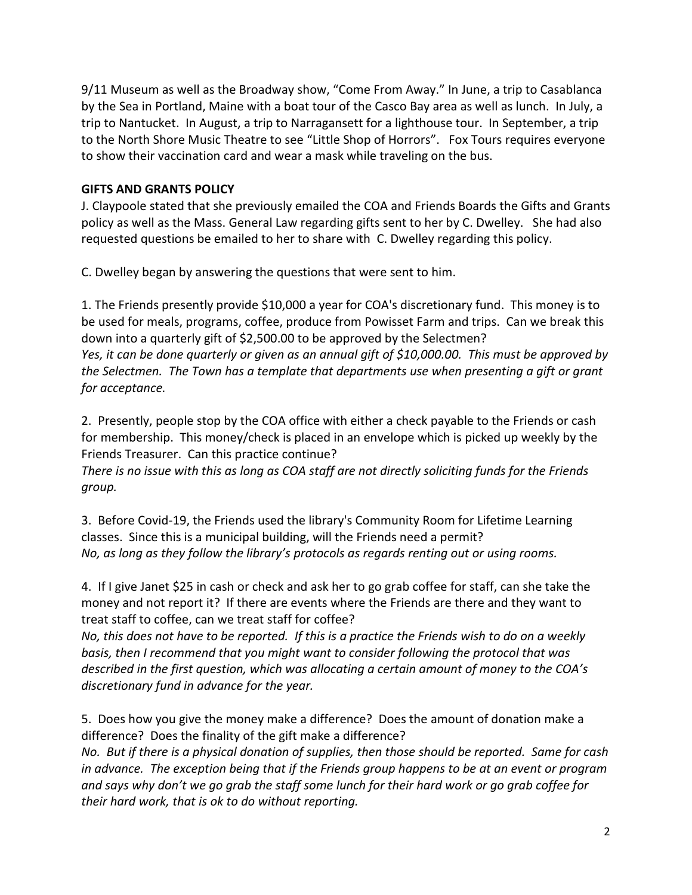9/11 Museum as well as the Broadway show, "Come From Away." In June, a trip to Casablanca by the Sea in Portland, Maine with a boat tour of the Casco Bay area as well as lunch. In July, a trip to Nantucket. In August, a trip to Narragansett for a lighthouse tour. In September, a trip to the North Shore Music Theatre to see "Little Shop of Horrors". Fox Tours requires everyone to show their vaccination card and wear a mask while traveling on the bus.

## **GIFTS AND GRANTS POLICY**

J. Claypoole stated that she previously emailed the COA and Friends Boards the Gifts and Grants policy as well as the Mass. General Law regarding gifts sent to her by C. Dwelley. She had also requested questions be emailed to her to share with C. Dwelley regarding this policy.

C. Dwelley began by answering the questions that were sent to him.

1. The Friends presently provide \$10,000 a year for COA's discretionary fund. This money is to be used for meals, programs, coffee, produce from Powisset Farm and trips. Can we break this down into a quarterly gift of \$2,500.00 to be approved by the Selectmen? *Yes, it can be done quarterly or given as an annual gift of \$10,000.00. This must be approved by the Selectmen. The Town has a template that departments use when presenting a gift or grant for acceptance.*

2. Presently, people stop by the COA office with either a check payable to the Friends or cash for membership. This money/check is placed in an envelope which is picked up weekly by the Friends Treasurer. Can this practice continue?

*There is no issue with this as long as COA staff are not directly soliciting funds for the Friends group.*

3. Before Covid-19, the Friends used the library's Community Room for Lifetime Learning classes. Since this is a municipal building, will the Friends need a permit? *No, as long as they follow the library's protocols as regards renting out or using rooms.*

4. If I give Janet \$25 in cash or check and ask her to go grab coffee for staff, can she take the money and not report it? If there are events where the Friends are there and they want to treat staff to coffee, can we treat staff for coffee?

*No, this does not have to be reported. If this is a practice the Friends wish to do on a weekly basis, then I recommend that you might want to consider following the protocol that was described in the first question, which was allocating a certain amount of money to the COA's discretionary fund in advance for the year.*

5. Does how you give the money make a difference? Does the amount of donation make a difference? Does the finality of the gift make a difference?

*No. But if there is a physical donation of supplies, then those should be reported. Same for cash in advance. The exception being that if the Friends group happens to be at an event or program and says why don't we go grab the staff some lunch for their hard work or go grab coffee for their hard work, that is ok to do without reporting.*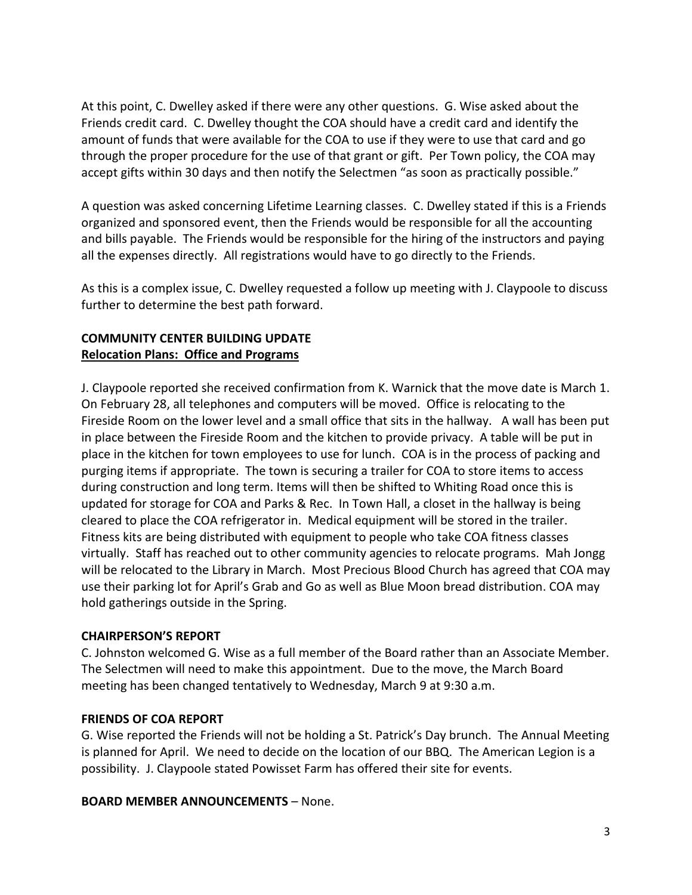At this point, C. Dwelley asked if there were any other questions. G. Wise asked about the Friends credit card. C. Dwelley thought the COA should have a credit card and identify the amount of funds that were available for the COA to use if they were to use that card and go through the proper procedure for the use of that grant or gift. Per Town policy, the COA may accept gifts within 30 days and then notify the Selectmen "as soon as practically possible."

A question was asked concerning Lifetime Learning classes. C. Dwelley stated if this is a Friends organized and sponsored event, then the Friends would be responsible for all the accounting and bills payable. The Friends would be responsible for the hiring of the instructors and paying all the expenses directly. All registrations would have to go directly to the Friends.

As this is a complex issue, C. Dwelley requested a follow up meeting with J. Claypoole to discuss further to determine the best path forward.

# **COMMUNITY CENTER BUILDING UPDATE Relocation Plans: Office and Programs**

J. Claypoole reported she received confirmation from K. Warnick that the move date is March 1. On February 28, all telephones and computers will be moved. Office is relocating to the Fireside Room on the lower level and a small office that sits in the hallway. A wall has been put in place between the Fireside Room and the kitchen to provide privacy. A table will be put in place in the kitchen for town employees to use for lunch. COA is in the process of packing and purging items if appropriate. The town is securing a trailer for COA to store items to access during construction and long term. Items will then be shifted to Whiting Road once this is updated for storage for COA and Parks & Rec. In Town Hall, a closet in the hallway is being cleared to place the COA refrigerator in. Medical equipment will be stored in the trailer. Fitness kits are being distributed with equipment to people who take COA fitness classes virtually. Staff has reached out to other community agencies to relocate programs. Mah Jongg will be relocated to the Library in March. Most Precious Blood Church has agreed that COA may use their parking lot for April's Grab and Go as well as Blue Moon bread distribution. COA may hold gatherings outside in the Spring.

# **CHAIRPERSON'S REPORT**

C. Johnston welcomed G. Wise as a full member of the Board rather than an Associate Member. The Selectmen will need to make this appointment. Due to the move, the March Board meeting has been changed tentatively to Wednesday, March 9 at 9:30 a.m.

# **FRIENDS OF COA REPORT**

G. Wise reported the Friends will not be holding a St. Patrick's Day brunch. The Annual Meeting is planned for April. We need to decide on the location of our BBQ. The American Legion is a possibility. J. Claypoole stated Powisset Farm has offered their site for events.

**BOARD MEMBER ANNOUNCEMENTS** – None.